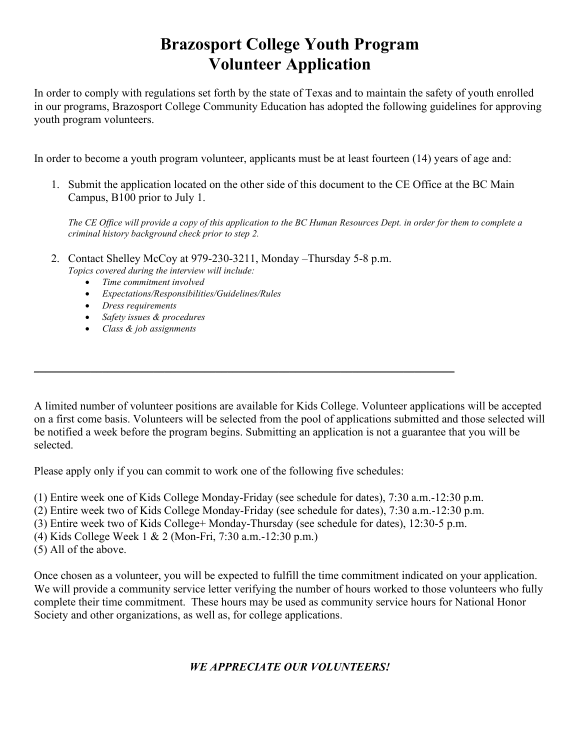## **Brazosport College Youth Program Volunteer Application**

In order to comply with regulations set forth by the state of Texas and to maintain the safety of youth enrolled in our programs, Brazosport College Community Education has adopted the following guidelines for approving youth program volunteers.

In order to become a youth program volunteer, applicants must be at least fourteen (14) years of age and:

1. Submit the application located on the other side of this document to the CE Office at the BC Main Campus, B100 prior to July 1.

*The CE Office will provide a copy of this application to the BC Human Resources Dept. in order for them to complete a criminal history background check prior to step 2.*

- 2. Contact Shelley McCoy at 979-230-3211, Monday –Thursday 5-8 p.m. *Topics covered during the interview will include:*
	- *Time commitment involved*
	- *Expectations/Responsibilities/Guidelines/Rules*
	- *Dress requirements*
	- *Safety issues & procedures*
	- *Class & job assignments*

A limited number of volunteer positions are available for Kids College. Volunteer applications will be accepted on a first come basis. Volunteers will be selected from the pool of applications submitted and those selected will be notified a week before the program begins. Submitting an application is not a guarantee that you will be selected.

Please apply only if you can commit to work one of the following five schedules:

- (1) Entire week one of Kids College Monday-Friday (see schedule for dates), 7:30 a.m.-12:30 p.m.
- (2) Entire week two of Kids College Monday-Friday (see schedule for dates), 7:30 a.m.-12:30 p.m.
- (3) Entire week two of Kids College+ Monday-Thursday (see schedule for dates), 12:30-5 p.m.

\_\_\_\_\_\_\_\_\_\_\_\_\_\_\_\_\_\_\_\_\_\_\_\_\_\_\_\_\_\_\_\_\_\_\_\_\_\_\_\_\_\_\_\_\_\_\_\_\_\_\_\_\_\_\_\_\_\_\_\_\_\_\_\_\_\_\_\_\_\_\_\_\_\_

- (4) Kids College Week 1 & 2 (Mon-Fri, 7:30 a.m.-12:30 p.m.)
- (5) All of the above.

Once chosen as a volunteer, you will be expected to fulfill the time commitment indicated on your application. We will provide a community service letter verifying the number of hours worked to those volunteers who fully complete their time commitment. These hours may be used as community service hours for National Honor Society and other organizations, as well as, for college applications.

## *WE APPRECIATE OUR VOLUNTEERS!*